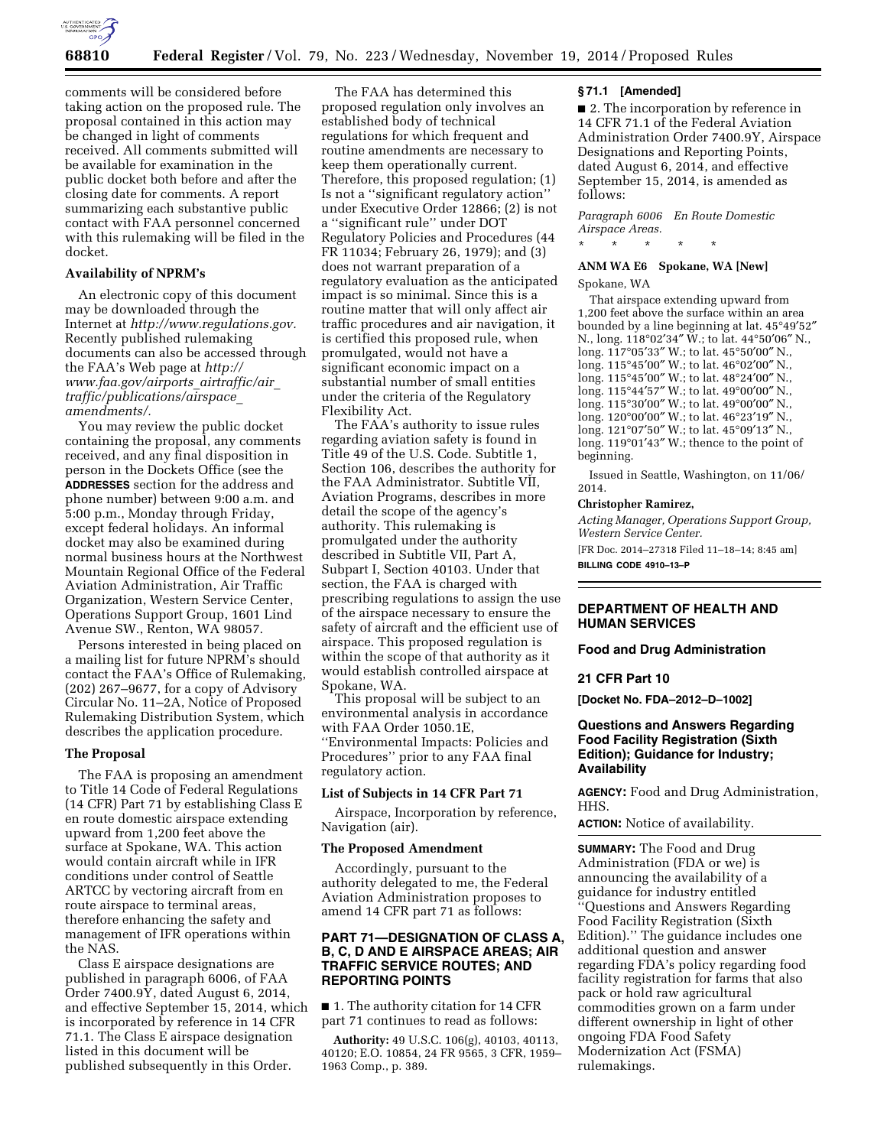

comments will be considered before taking action on the proposed rule. The proposal contained in this action may be changed in light of comments received. All comments submitted will be available for examination in the public docket both before and after the closing date for comments. A report summarizing each substantive public contact with FAA personnel concerned with this rulemaking will be filed in the docket.

### **Availability of NPRM's**

An electronic copy of this document may be downloaded through the Internet at *[http://www.regulations.gov.](http://www.regulations.gov)*  Recently published rulemaking documents can also be accessed through the FAA's Web page at *[http://](http://www.faa.gov/airports_airtraffic/air_traffic/publications/airspace_amendments/) [www.faa.gov/airports](http://www.faa.gov/airports_airtraffic/air_traffic/publications/airspace_amendments/)*\_*airtraffic/air*\_ *[traffic/publications/airspace](http://www.faa.gov/airports_airtraffic/air_traffic/publications/airspace_amendments/)*\_ *[amendments/.](http://www.faa.gov/airports_airtraffic/air_traffic/publications/airspace_amendments/)* 

You may review the public docket containing the proposal, any comments received, and any final disposition in person in the Dockets Office (see the **ADDRESSES** section for the address and phone number) between 9:00 a.m. and 5:00 p.m., Monday through Friday, except federal holidays. An informal docket may also be examined during normal business hours at the Northwest Mountain Regional Office of the Federal Aviation Administration, Air Traffic Organization, Western Service Center, Operations Support Group, 1601 Lind Avenue SW., Renton, WA 98057.

Persons interested in being placed on a mailing list for future NPRM's should contact the FAA's Office of Rulemaking, (202) 267–9677, for a copy of Advisory Circular No. 11–2A, Notice of Proposed Rulemaking Distribution System, which describes the application procedure.

### **The Proposal**

The FAA is proposing an amendment to Title 14 Code of Federal Regulations (14 CFR) Part 71 by establishing Class E en route domestic airspace extending upward from 1,200 feet above the surface at Spokane, WA. This action would contain aircraft while in IFR conditions under control of Seattle ARTCC by vectoring aircraft from en route airspace to terminal areas, therefore enhancing the safety and management of IFR operations within the NAS.

Class E airspace designations are published in paragraph 6006, of FAA Order 7400.9 $\bar{Y}$ , dated August 6, 2014, and effective September 15, 2014, which is incorporated by reference in 14 CFR 71.1. The Class E airspace designation listed in this document will be published subsequently in this Order.

The FAA has determined this proposed regulation only involves an established body of technical regulations for which frequent and routine amendments are necessary to keep them operationally current. Therefore, this proposed regulation; (1) Is not a ''significant regulatory action'' under Executive Order 12866; (2) is not a ''significant rule'' under DOT Regulatory Policies and Procedures (44 FR 11034; February 26, 1979); and (3) does not warrant preparation of a regulatory evaluation as the anticipated impact is so minimal. Since this is a routine matter that will only affect air traffic procedures and air navigation, it is certified this proposed rule, when promulgated, would not have a significant economic impact on a substantial number of small entities under the criteria of the Regulatory Flexibility Act.

The FAA's authority to issue rules regarding aviation safety is found in Title 49 of the U.S. Code. Subtitle 1, Section 106, describes the authority for the FAA Administrator. Subtitle VII, Aviation Programs, describes in more detail the scope of the agency's authority. This rulemaking is promulgated under the authority described in Subtitle VII, Part A, Subpart I, Section 40103. Under that section, the FAA is charged with prescribing regulations to assign the use of the airspace necessary to ensure the safety of aircraft and the efficient use of airspace. This proposed regulation is within the scope of that authority as it would establish controlled airspace at Spokane, WA.

This proposal will be subject to an environmental analysis in accordance with FAA Order 1050.1E, ''Environmental Impacts: Policies and Procedures'' prior to any FAA final regulatory action.

#### **List of Subjects in 14 CFR Part 71**

Airspace, Incorporation by reference, Navigation (air).

## **The Proposed Amendment**

Accordingly, pursuant to the authority delegated to me, the Federal Aviation Administration proposes to amend 14 CFR part 71 as follows:

# **PART 71—DESIGNATION OF CLASS A, B, C, D AND E AIRSPACE AREAS; AIR TRAFFIC SERVICE ROUTES; AND REPORTING POINTS**

■ 1. The authority citation for 14 CFR part 71 continues to read as follows:

**Authority:** 49 U.S.C. 106(g), 40103, 40113, 40120; E.O. 10854, 24 FR 9565, 3 CFR, 1959– 1963 Comp., p. 389.

### **§ 71.1 [Amended]**

■ 2. The incorporation by reference in 14 CFR 71.1 of the Federal Aviation Administration Order 7400.9Y, Airspace Designations and Reporting Points, dated August 6, 2014, and effective September 15, 2014, is amended as follows:

*Paragraph 6006 En Route Domestic Airspace Areas.* 

#### **ANM WA E6 Spokane, WA [New]**

\* \* \* \* \*

Spokane, WA

That airspace extending upward from 1,200 feet above the surface within an area bounded by a line beginning at lat. 45°49′52″ N., long. 118°02′34″ W.; to lat. 44°50′06″ N., long. 117°05′33″ W.; to lat. 45°50′00″ N., long. 115°45′00″ W.; to lat. 46°02′00″ N., long. 115°45′00″ W.; to lat. 48°24′00″ N., long. 115°44′57″ W.; to lat. 49°00′00″ N., long. 115°30′00″ W.; to lat. 49°00′00″ N., long. 120°00′00″ W.; to lat. 46°23′19″ N., long. 121°07′50″ W.; to lat. 45°09′13″ N., long. 119°01′43″ W.; thence to the point of beginning.

Issued in Seattle, Washington, on 11/06/ 2014.

#### **Christopher Ramirez,**

*Acting Manager, Operations Support Group, Western Service Center.* 

[FR Doc. 2014–27318 Filed 11–18–14; 8:45 am]

**BILLING CODE 4910–13–P** 

## **DEPARTMENT OF HEALTH AND HUMAN SERVICES**

**Food and Drug Administration** 

### **21 CFR Part 10**

**[Docket No. FDA–2012–D–1002]** 

# **Questions and Answers Regarding Food Facility Registration (Sixth Edition); Guidance for Industry; Availability**

**AGENCY:** Food and Drug Administration, HHS.

**ACTION:** Notice of availability.

**SUMMARY:** The Food and Drug Administration (FDA or we) is announcing the availability of a guidance for industry entitled ''Questions and Answers Regarding Food Facility Registration (Sixth Edition).'' The guidance includes one additional question and answer regarding FDA's policy regarding food facility registration for farms that also pack or hold raw agricultural commodities grown on a farm under different ownership in light of other ongoing FDA Food Safety Modernization Act (FSMA) rulemakings.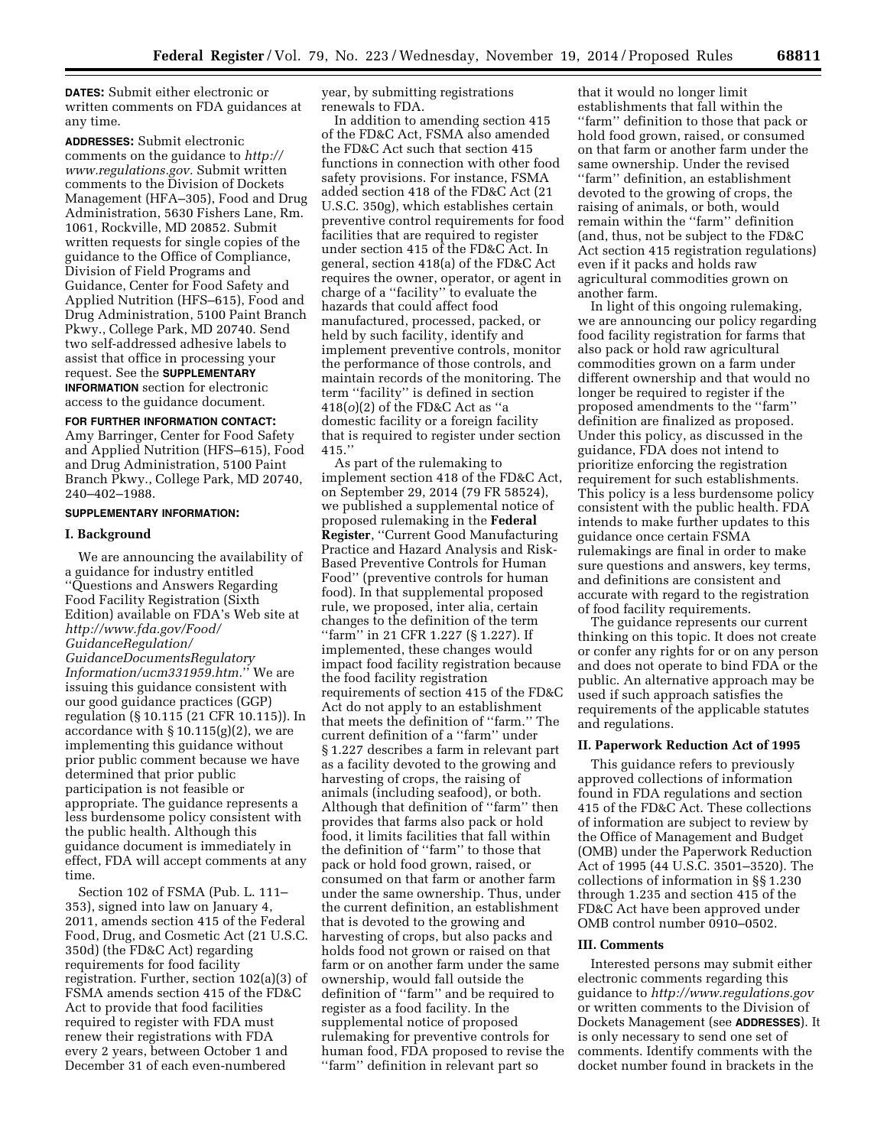**DATES:** Submit either electronic or written comments on FDA guidances at any time.

**ADDRESSES:** Submit electronic comments on the guidance to *[http://](http://www.regulations.gov) [www.regulations.gov.](http://www.regulations.gov)* Submit written comments to the Division of Dockets Management (HFA–305), Food and Drug Administration, 5630 Fishers Lane, Rm. 1061, Rockville, MD 20852. Submit written requests for single copies of the guidance to the Office of Compliance, Division of Field Programs and Guidance, Center for Food Safety and Applied Nutrition (HFS–615), Food and Drug Administration, 5100 Paint Branch Pkwy., College Park, MD 20740. Send two self-addressed adhesive labels to assist that office in processing your request. See the **SUPPLEMENTARY INFORMATION** section for electronic access to the guidance document.

## **FOR FURTHER INFORMATION CONTACT:**

Amy Barringer, Center for Food Safety and Applied Nutrition (HFS–615), Food and Drug Administration, 5100 Paint Branch Pkwy., College Park, MD 20740, 240–402–1988.

## **SUPPLEMENTARY INFORMATION:**

## **I. Background**

We are announcing the availability of a guidance for industry entitled ''Questions and Answers Regarding Food Facility Registration (Sixth Edition) available on FDA's Web site at *[http://www.fda.gov/Food/](http://www.fda.gov/Food/GuidanceRegulation/GuidanceDocumentsRegulatoryInformation/ucm331959.htm) [GuidanceRegulation/](http://www.fda.gov/Food/GuidanceRegulation/GuidanceDocumentsRegulatoryInformation/ucm331959.htm) [GuidanceDocumentsRegulatory](http://www.fda.gov/Food/GuidanceRegulation/GuidanceDocumentsRegulatoryInformation/ucm331959.htm) [Information/ucm331959.htm.](http://www.fda.gov/Food/GuidanceRegulation/GuidanceDocumentsRegulatoryInformation/ucm331959.htm)*'' We are issuing this guidance consistent with our good guidance practices (GGP) regulation (§ 10.115 (21 CFR 10.115)). In accordance with  $\S 10.115(g)(2)$ , we are implementing this guidance without prior public comment because we have determined that prior public participation is not feasible or appropriate. The guidance represents a less burdensome policy consistent with the public health. Although this guidance document is immediately in effect, FDA will accept comments at any time.

Section 102 of FSMA (Pub. L. 111– 353), signed into law on January 4, 2011, amends section 415 of the Federal Food, Drug, and Cosmetic Act (21 U.S.C. 350d) (the FD&C Act) regarding requirements for food facility registration. Further, section 102(a)(3) of FSMA amends section 415 of the FD&C Act to provide that food facilities required to register with FDA must renew their registrations with FDA every 2 years, between October 1 and December 31 of each even-numbered

year, by submitting registrations renewals to FDA.

In addition to amending section 415 of the FD&C Act, FSMA also amended the FD&C Act such that section 415 functions in connection with other food safety provisions. For instance, FSMA added section 418 of the FD&C Act (21 U.S.C. 350g), which establishes certain preventive control requirements for food facilities that are required to register under section 415 of the FD&C Act. In general, section 418(a) of the FD&C Act requires the owner, operator, or agent in charge of a ''facility'' to evaluate the hazards that could affect food manufactured, processed, packed, or held by such facility, identify and implement preventive controls, monitor the performance of those controls, and maintain records of the monitoring. The term ''facility'' is defined in section 418(*o*)(2) of the FD&C Act as ''a domestic facility or a foreign facility that is required to register under section 415.''

As part of the rulemaking to implement section 418 of the FD&C Act, on September 29, 2014 (79 FR 58524), we published a supplemental notice of proposed rulemaking in the **Federal Register**, ''Current Good Manufacturing Practice and Hazard Analysis and Risk-Based Preventive Controls for Human Food'' (preventive controls for human food). In that supplemental proposed rule, we proposed, inter alia, certain changes to the definition of the term ''farm'' in 21 CFR 1.227 (§ 1.227). If implemented, these changes would impact food facility registration because the food facility registration requirements of section 415 of the FD&C Act do not apply to an establishment that meets the definition of ''farm.'' The current definition of a ''farm'' under § 1.227 describes a farm in relevant part as a facility devoted to the growing and harvesting of crops, the raising of animals (including seafood), or both. Although that definition of ''farm'' then provides that farms also pack or hold food, it limits facilities that fall within the definition of ''farm'' to those that pack or hold food grown, raised, or consumed on that farm or another farm under the same ownership. Thus, under the current definition, an establishment that is devoted to the growing and harvesting of crops, but also packs and holds food not grown or raised on that farm or on another farm under the same ownership, would fall outside the definition of ''farm'' and be required to register as a food facility. In the supplemental notice of proposed rulemaking for preventive controls for human food, FDA proposed to revise the ''farm'' definition in relevant part so

that it would no longer limit establishments that fall within the ''farm'' definition to those that pack or hold food grown, raised, or consumed on that farm or another farm under the same ownership. Under the revised ''farm'' definition, an establishment devoted to the growing of crops, the raising of animals, or both, would remain within the ''farm'' definition (and, thus, not be subject to the FD&C Act section 415 registration regulations) even if it packs and holds raw agricultural commodities grown on another farm.

In light of this ongoing rulemaking, we are announcing our policy regarding food facility registration for farms that also pack or hold raw agricultural commodities grown on a farm under different ownership and that would no longer be required to register if the proposed amendments to the ''farm'' definition are finalized as proposed. Under this policy, as discussed in the guidance, FDA does not intend to prioritize enforcing the registration requirement for such establishments. This policy is a less burdensome policy consistent with the public health. FDA intends to make further updates to this guidance once certain FSMA rulemakings are final in order to make sure questions and answers, key terms, and definitions are consistent and accurate with regard to the registration of food facility requirements.

The guidance represents our current thinking on this topic. It does not create or confer any rights for or on any person and does not operate to bind FDA or the public. An alternative approach may be used if such approach satisfies the requirements of the applicable statutes and regulations.

#### **II. Paperwork Reduction Act of 1995**

This guidance refers to previously approved collections of information found in FDA regulations and section 415 of the FD&C Act. These collections of information are subject to review by the Office of Management and Budget (OMB) under the Paperwork Reduction Act of 1995 (44 U.S.C. 3501–3520). The collections of information in §§ 1.230 through 1.235 and section 415 of the FD&C Act have been approved under OMB control number 0910–0502.

# **III. Comments**

Interested persons may submit either electronic comments regarding this guidance to *<http://www.regulations.gov>* or written comments to the Division of Dockets Management (see **ADDRESSES**). It is only necessary to send one set of comments. Identify comments with the docket number found in brackets in the